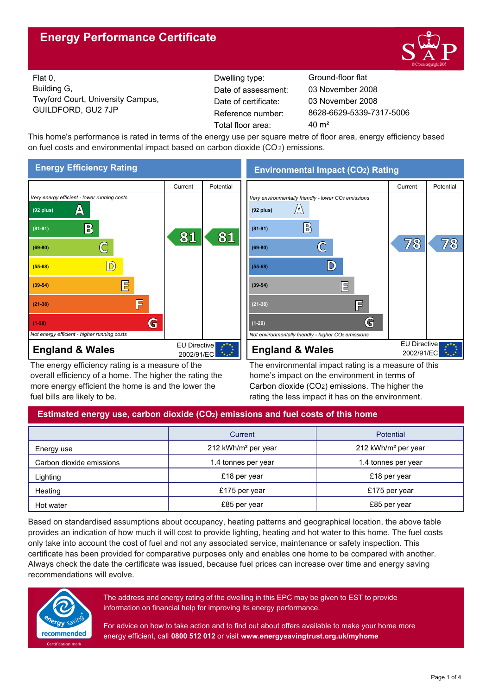# **Energy Performance Certificate**



Flat 0, Building G, Twyford Court, University Campus, GUILDFORD, GU2 7JP Reference number:

Dwelling type: Ground-floor flat Date of certificate: Total floor area: 40 m<sup>2</sup> Date of assessment:

8628-6629-5339-7317-5006 03 November 2008 03 November 2008

This home's performance is rated in terms of the energy use per square metre of floor area, energy efficiency based on fuel costs and environmental impact based on carbon dioxide (CO2) emissions.



The energy efficiency rating is a measure of the overall efficiency of a home. The higher the rating the more energy efficient the home is and the lower the fuel bills are likely to be.

**Environmental Impact (CO2) Rating**



The environmental impact rating is a measure of this home's impact on the environment in terms of Carbon dioxide (CO2) emissions. The higher the rating the less impact it has on the environment.

# **Estimated energy use, carbon dioxide (CO2) emissions and fuel costs of this home**

|                          | Current                         | Potential                       |  |
|--------------------------|---------------------------------|---------------------------------|--|
| Energy use               | 212 kWh/m <sup>2</sup> per year | 212 kWh/m <sup>2</sup> per year |  |
| Carbon dioxide emissions | 1.4 tonnes per year             | 1.4 tonnes per year             |  |
| Lighting                 | £18 per year                    | £18 per year                    |  |
| Heating                  | £175 per year                   | £175 per year                   |  |
| Hot water                | £85 per year                    | £85 per year                    |  |

Based on standardised assumptions about occupancy, heating patterns and geographical location, the above table provides an indication of how much it will cost to provide lighting, heating and hot water to this home. The fuel costs only take into account the cost of fuel and not any associated service, maintenance or safety inspection. This certificate has been provided for comparative purposes only and enables one home to be compared with another. Always check the date the certificate was issued, because fuel prices can increase over time and energy saving recommendations will evolve.



The address and energy rating of the dwelling in this EPC may be given to EST to provide information on financial help for improving its energy performance.

For advice on how to take action and to find out about offers available to make your home more energy efficient, call **0800 512 012** or visit **www.energysavingtrust.org.uk/myhome**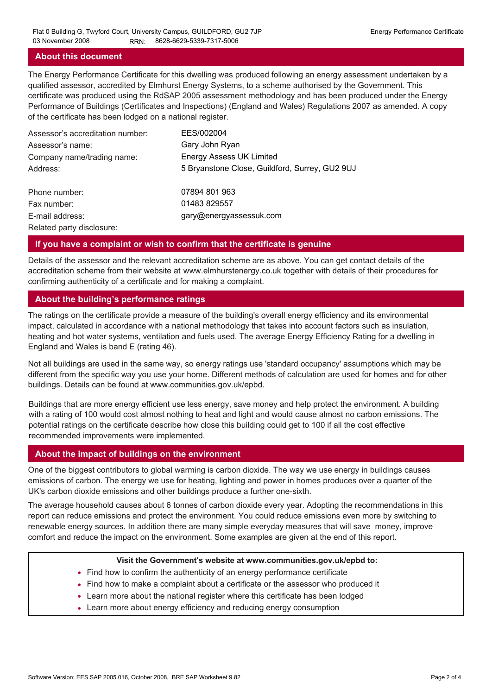# **About this document**

The Energy Performance Certificate for this dwelling was produced following an energy assessment undertaken by a qualified assessor, accredited by Elmhurst Energy Systems, to a scheme authorised by the Government. This certificate was produced using the RdSAP 2005 assessment methodology and has been produced under the Energy Performance of Buildings (Certificates and Inspections) (England and Wales) Regulations 2007 as amended. A copy of the certificate has been lodged on a national register.

| Assessor's accreditation number: | EES/002004                                     |
|----------------------------------|------------------------------------------------|
| Assessor's name:                 | Gary John Ryan                                 |
| Company name/trading name:       | <b>Energy Assess UK Limited</b>                |
| Address:                         | 5 Bryanstone Close, Guildford, Surrey, GU2 9UJ |
| Phone number:                    | 07894 801 963                                  |
| Fax number:                      | 01483 829557                                   |
| E-mail address:                  | gary@energyassessuk.com                        |
| Related party disclosure:        |                                                |

## **If you have a complaint or wish to confirm that the certificate is genuine**

Details of the assessor and the relevant accreditation scheme are as above. You can get contact details of the accreditation scheme from their website at www.elmhurstenergy.co.uk together with details of their procedures for confirming authenticity of a certificate and for making a complaint.

## **About the building's performance ratings**

The ratings on the certificate provide a measure of the building's overall energy efficiency and its environmental impact, calculated in accordance with a national methodology that takes into account factors such as insulation, heating and hot water systems, ventilation and fuels used. The average Energy Efficiency Rating for a dwelling in England and Wales is band E (rating 46).

Not all buildings are used in the same way, so energy ratings use 'standard occupancy' assumptions which may be different from the specific way you use your home. Different methods of calculation are used for homes and for other buildings. Details can be found at www.communities.gov.uk/epbd.

Buildings that are more energy efficient use less energy, save money and help protect the environment. A building with a rating of 100 would cost almost nothing to heat and light and would cause almost no carbon emissions. The potential ratings on the certificate describe how close this building could get to 100 if all the cost effective recommended improvements were implemented.

## **About the impact of buildings on the environment**

One of the biggest contributors to global warming is carbon dioxide. The way we use energy in buildings causes emissions of carbon. The energy we use for heating, lighting and power in homes produces over a quarter of the UK's carbon dioxide emissions and other buildings produce a further one-sixth.

The average household causes about 6 tonnes of carbon dioxide every year. Adopting the recommendations in this report can reduce emissions and protect the environment. You could reduce emissions even more by switching to renewable energy sources. In addition there are many simple everyday measures that will save money, improve comfort and reduce the impact on the environment. Some examples are given at the end of this report.

#### **Visit the Government's website at www.communities.gov.uk/epbd to:**

- Find how to confirm the authenticity of an energy performance certificate
- Find how to make a complaint about a certificate or the assessor who produced it •
- Learn more about the national register where this certificate has been lodged •
- Learn more about energy efficiency and reducing energy consumption •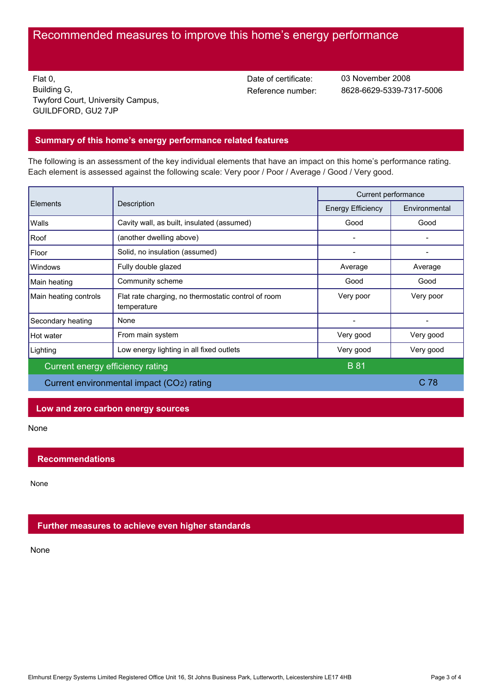# Recommended measures to improve this home's energy performance

Flat 0, Building G, Twyford Court, University Campus, GUILDFORD, GU2 7JP

Date of certificate:

Reference number: 8628-6629-5339-7317-5006 03 November 2008

# **Summary of this home's energy performance related features**

The following is an assessment of the key individual elements that have an impact on this home's performance rating. Each element is assessed against the following scale: Very poor / Poor / Average / Good / Very good.

|                                           |                                                                    | Current performance      |                 |
|-------------------------------------------|--------------------------------------------------------------------|--------------------------|-----------------|
| Elements                                  | Description                                                        | <b>Energy Efficiency</b> | Environmental   |
| Walls                                     | Cavity wall, as built, insulated (assumed)                         | Good                     | Good            |
| Roof                                      | (another dwelling above)                                           |                          |                 |
| Floor                                     | Solid, no insulation (assumed)                                     |                          |                 |
| Windows                                   | Fully double glazed                                                | Average                  | Average         |
| Main heating                              | Community scheme                                                   | Good                     | Good            |
| Main heating controls                     | Flat rate charging, no thermostatic control of room<br>temperature | Very poor                | Very poor       |
| Secondary heating                         | None                                                               |                          |                 |
| Hot water                                 | From main system                                                   | Very good                | Very good       |
| Lighting                                  | Low energy lighting in all fixed outlets                           | Very good                | Very good       |
| Current energy efficiency rating          |                                                                    | <b>B</b> 81              |                 |
| Current environmental impact (CO2) rating |                                                                    |                          | C <sub>78</sub> |

### **Low and zero carbon energy sources**

None

## **Recommendations**

None

## **Further measures to achieve even higher standards**

None